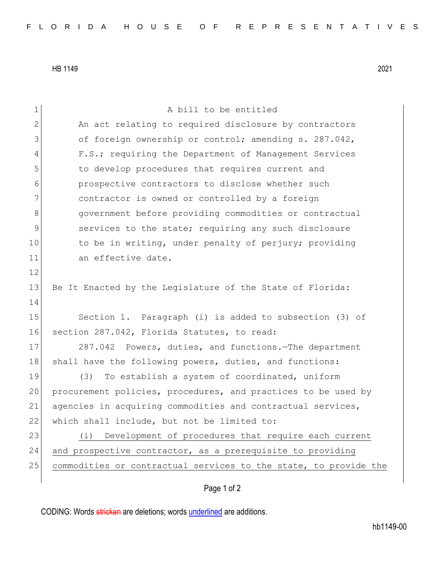HB 1149 2021

| 1             | A bill to be entitled                                            |
|---------------|------------------------------------------------------------------|
| 2             | An act relating to required disclosure by contractors            |
| 3             | of foreign ownership or control; amending s. 287.042,            |
| 4             | F.S.; requiring the Department of Management Services            |
| 5             | to develop procedures that requires current and                  |
| 6             | prospective contractors to disclose whether such                 |
| 7             | contractor is owned or controlled by a foreign                   |
| 8             | government before providing commodities or contractual           |
| $\mathcal{G}$ | services to the state; requiring any such disclosure             |
| 10            | to be in writing, under penalty of perjury; providing            |
| 11            | an effective date.                                               |
| 12            |                                                                  |
| 13            | Be It Enacted by the Legislature of the State of Florida:        |
| 14            |                                                                  |
| 15            | Section 1. Paragraph (i) is added to subsection (3) of           |
| 16            | section 287.042, Florida Statutes, to read:                      |
| 17            | 287.042 Powers, duties, and functions. The department            |
| 18            | shall have the following powers, duties, and functions:          |
| 19            | (3)<br>To establish a system of coordinated, uniform             |
| 20            | procurement policies, procedures, and practices to be used by    |
| 21            | agencies in acquiring commodities and contractual services,      |
| 22            | which shall include, but not be limited to:                      |
| 23            | Development of procedures that require each current<br>(i)       |
| 24            | and prospective contractor, as a prerequisite to providing       |
| 25            | commodities or contractual services to the state, to provide the |
|               |                                                                  |

## Page 1 of 2

CODING: Words stricken are deletions; words underlined are additions.